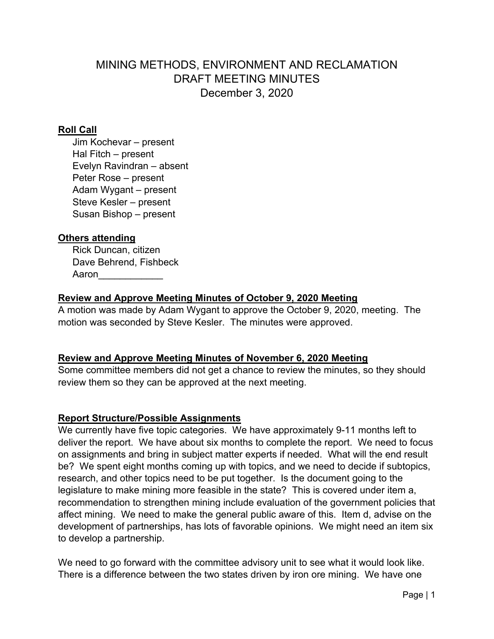# MINING METHODS, ENVIRONMENT AND RECLAMATION DRAFT MEETING MINUTES December 3, 2020

## **Roll Call**

Jim Kochevar – present Hal Fitch – present Evelyn Ravindran – absent Peter Rose – present Adam Wygant – present Steve Kesler – present Susan Bishop – present

## **Others attending**

 Rick Duncan, citizen Dave Behrend, Fishbeck Aaron $\qquad \qquad \qquad$ 

## **Review and Approve Meeting Minutes of October 9, 2020 Meeting**

A motion was made by Adam Wygant to approve the October 9, 2020, meeting. The motion was seconded by Steve Kesler. The minutes were approved.

#### **Review and Approve Meeting Minutes of November 6, 2020 Meeting**

Some committee members did not get a chance to review the minutes, so they should review them so they can be approved at the next meeting.

## **Report Structure/Possible Assignments**

We currently have five topic categories. We have approximately 9-11 months left to deliver the report. We have about six months to complete the report. We need to focus on assignments and bring in subject matter experts if needed. What will the end result be? We spent eight months coming up with topics, and we need to decide if subtopics, research, and other topics need to be put together. Is the document going to the legislature to make mining more feasible in the state? This is covered under item a, recommendation to strengthen mining include evaluation of the government policies that affect mining. We need to make the general public aware of this. Item d, advise on the development of partnerships, has lots of favorable opinions. We might need an item six to develop a partnership.

We need to go forward with the committee advisory unit to see what it would look like. There is a difference between the two states driven by iron ore mining. We have one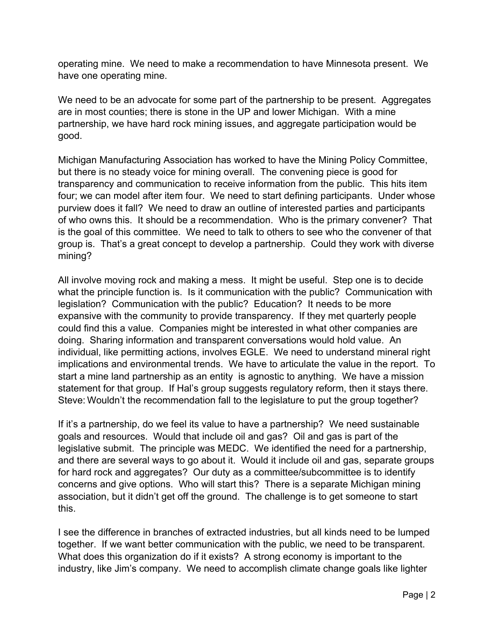operating mine. We need to make a recommendation to have Minnesota present. We have one operating mine.

We need to be an advocate for some part of the partnership to be present. Aggregates are in most counties; there is stone in the UP and lower Michigan. With a mine partnership, we have hard rock mining issues, and aggregate participation would be good.

Michigan Manufacturing Association has worked to have the Mining Policy Committee, but there is no steady voice for mining overall. The convening piece is good for transparency and communication to receive information from the public. This hits item four; we can model after item four. We need to start defining participants. Under whose purview does it fall? We need to draw an outline of interested parties and participants of who owns this. It should be a recommendation. Who is the primary convener? That is the goal of this committee. We need to talk to others to see who the convener of that group is. That's a great concept to develop a partnership. Could they work with diverse mining?

All involve moving rock and making a mess. It might be useful. Step one is to decide what the principle function is. Is it communication with the public? Communication with legislation? Communication with the public? Education? It needs to be more expansive with the community to provide transparency. If they met quarterly people could find this a value. Companies might be interested in what other companies are doing. Sharing information and transparent conversations would hold value. An individual, like permitting actions, involves EGLE. We need to understand mineral right implications and environmental trends. We have to articulate the value in the report. To start a mine land partnership as an entity is agnostic to anything. We have a mission statement for that group. If Hal's group suggests regulatory reform, then it stays there. Steve: Wouldn't the recommendation fall to the legislature to put the group together?

If it's a partnership, do we feel its value to have a partnership? We need sustainable goals and resources. Would that include oil and gas? Oil and gas is part of the legislative submit. The principle was MEDC. We identified the need for a partnership, and there are several ways to go about it. Would it include oil and gas, separate groups for hard rock and aggregates? Our duty as a committee/subcommittee is to identify concerns and give options. Who will start this? There is a separate Michigan mining association, but it didn't get off the ground. The challenge is to get someone to start this.

I see the difference in branches of extracted industries, but all kinds need to be lumped together. If we want better communication with the public, we need to be transparent. What does this organization do if it exists? A strong economy is important to the industry, like Jim's company. We need to accomplish climate change goals like lighter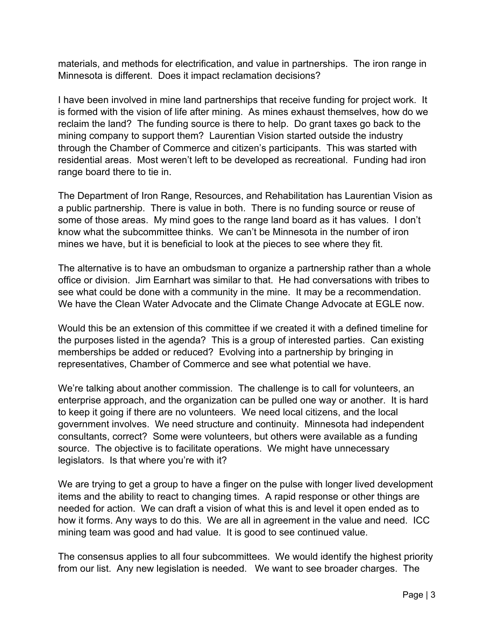materials, and methods for electrification, and value in partnerships. The iron range in Minnesota is different. Does it impact reclamation decisions?

I have been involved in mine land partnerships that receive funding for project work. It is formed with the vision of life after mining. As mines exhaust themselves, how do we reclaim the land? The funding source is there to help. Do grant taxes go back to the mining company to support them? Laurentian Vision started outside the industry through the Chamber of Commerce and citizen's participants. This was started with residential areas. Most weren't left to be developed as recreational. Funding had iron range board there to tie in.

The Department of Iron Range, Resources, and Rehabilitation has Laurentian Vision as a public partnership. There is value in both. There is no funding source or reuse of some of those areas. My mind goes to the range land board as it has values. I don't know what the subcommittee thinks. We can't be Minnesota in the number of iron mines we have, but it is beneficial to look at the pieces to see where they fit.

The alternative is to have an ombudsman to organize a partnership rather than a whole office or division. Jim Earnhart was similar to that. He had conversations with tribes to see what could be done with a community in the mine. It may be a recommendation. We have the Clean Water Advocate and the Climate Change Advocate at EGLE now.

Would this be an extension of this committee if we created it with a defined timeline for the purposes listed in the agenda? This is a group of interested parties. Can existing memberships be added or reduced? Evolving into a partnership by bringing in representatives, Chamber of Commerce and see what potential we have.

We're talking about another commission. The challenge is to call for volunteers, an enterprise approach, and the organization can be pulled one way or another. It is hard to keep it going if there are no volunteers. We need local citizens, and the local government involves. We need structure and continuity. Minnesota had independent consultants, correct? Some were volunteers, but others were available as a funding source. The objective is to facilitate operations. We might have unnecessary legislators. Is that where you're with it?

We are trying to get a group to have a finger on the pulse with longer lived development items and the ability to react to changing times. A rapid response or other things are needed for action. We can draft a vision of what this is and level it open ended as to how it forms. Any ways to do this. We are all in agreement in the value and need. ICC mining team was good and had value. It is good to see continued value.

The consensus applies to all four subcommittees. We would identify the highest priority from our list. Any new legislation is needed. We want to see broader charges. The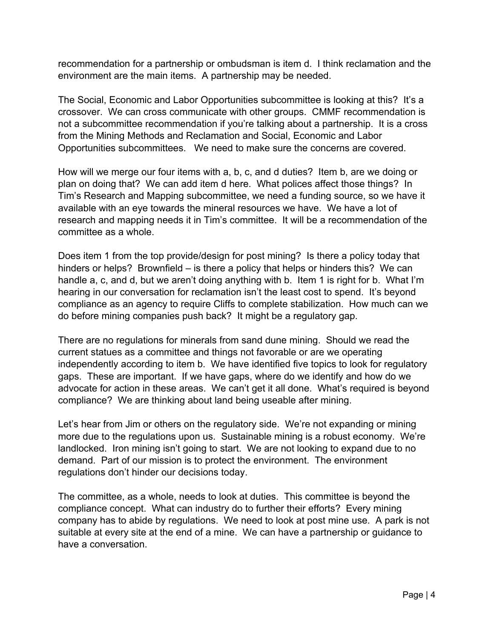recommendation for a partnership or ombudsman is item d. I think reclamation and the environment are the main items. A partnership may be needed.

The Social, Economic and Labor Opportunities subcommittee is looking at this? It's a crossover. We can cross communicate with other groups. CMMF recommendation is not a subcommittee recommendation if you're talking about a partnership. It is a cross from the Mining Methods and Reclamation and Social, Economic and Labor Opportunities subcommittees. We need to make sure the concerns are covered.

How will we merge our four items with a, b, c, and d duties? Item b, are we doing or plan on doing that? We can add item d here. What polices affect those things? In Tim's Research and Mapping subcommittee, we need a funding source, so we have it available with an eye towards the mineral resources we have. We have a lot of research and mapping needs it in Tim's committee. It will be a recommendation of the committee as a whole.

Does item 1 from the top provide/design for post mining? Is there a policy today that hinders or helps? Brownfield – is there a policy that helps or hinders this? We can handle a, c, and d, but we aren't doing anything with b. Item 1 is right for b. What I'm hearing in our conversation for reclamation isn't the least cost to spend. It's beyond compliance as an agency to require Cliffs to complete stabilization. How much can we do before mining companies push back? It might be a regulatory gap.

There are no regulations for minerals from sand dune mining. Should we read the current statues as a committee and things not favorable or are we operating independently according to item b. We have identified five topics to look for regulatory gaps. These are important. If we have gaps, where do we identify and how do we advocate for action in these areas. We can't get it all done. What's required is beyond compliance? We are thinking about land being useable after mining.

Let's hear from Jim or others on the regulatory side. We're not expanding or mining more due to the regulations upon us. Sustainable mining is a robust economy. We're landlocked. Iron mining isn't going to start. We are not looking to expand due to no demand. Part of our mission is to protect the environment. The environment regulations don't hinder our decisions today.

The committee, as a whole, needs to look at duties. This committee is beyond the compliance concept. What can industry do to further their efforts? Every mining company has to abide by regulations. We need to look at post mine use. A park is not suitable at every site at the end of a mine. We can have a partnership or guidance to have a conversation.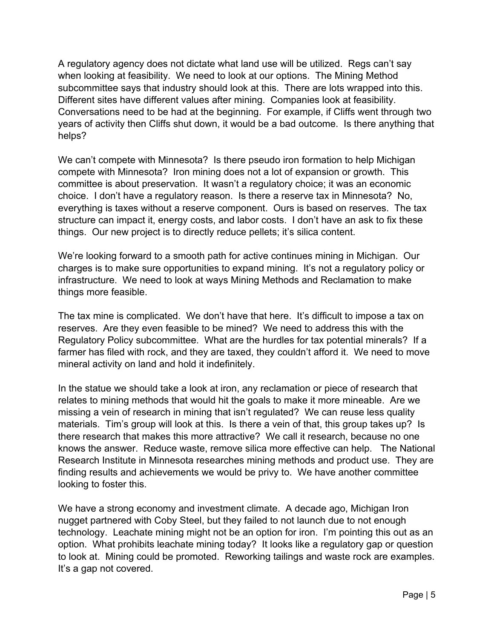A regulatory agency does not dictate what land use will be utilized. Regs can't say when looking at feasibility. We need to look at our options. The Mining Method subcommittee says that industry should look at this. There are lots wrapped into this. Different sites have different values after mining. Companies look at feasibility. Conversations need to be had at the beginning. For example, if Cliffs went through two years of activity then Cliffs shut down, it would be a bad outcome. Is there anything that helps?

We can't compete with Minnesota? Is there pseudo iron formation to help Michigan compete with Minnesota? Iron mining does not a lot of expansion or growth. This committee is about preservation. It wasn't a regulatory choice; it was an economic choice. I don't have a regulatory reason. Is there a reserve tax in Minnesota? No, everything is taxes without a reserve component. Ours is based on reserves. The tax structure can impact it, energy costs, and labor costs. I don't have an ask to fix these things. Our new project is to directly reduce pellets; it's silica content.

We're looking forward to a smooth path for active continues mining in Michigan. Our charges is to make sure opportunities to expand mining. It's not a regulatory policy or infrastructure. We need to look at ways Mining Methods and Reclamation to make things more feasible.

The tax mine is complicated. We don't have that here. It's difficult to impose a tax on reserves. Are they even feasible to be mined? We need to address this with the Regulatory Policy subcommittee. What are the hurdles for tax potential minerals? If a farmer has filed with rock, and they are taxed, they couldn't afford it. We need to move mineral activity on land and hold it indefinitely.

In the statue we should take a look at iron, any reclamation or piece of research that relates to mining methods that would hit the goals to make it more mineable. Are we missing a vein of research in mining that isn't regulated? We can reuse less quality materials. Tim's group will look at this. Is there a vein of that, this group takes up? Is there research that makes this more attractive? We call it research, because no one knows the answer. Reduce waste, remove silica more effective can help. The National Research Institute in Minnesota researches mining methods and product use. They are finding results and achievements we would be privy to. We have another committee looking to foster this.

We have a strong economy and investment climate. A decade ago, Michigan Iron nugget partnered with Coby Steel, but they failed to not launch due to not enough technology. Leachate mining might not be an option for iron. I'm pointing this out as an option. What prohibits leachate mining today? It looks like a regulatory gap or question to look at. Mining could be promoted. Reworking tailings and waste rock are examples. It's a gap not covered.